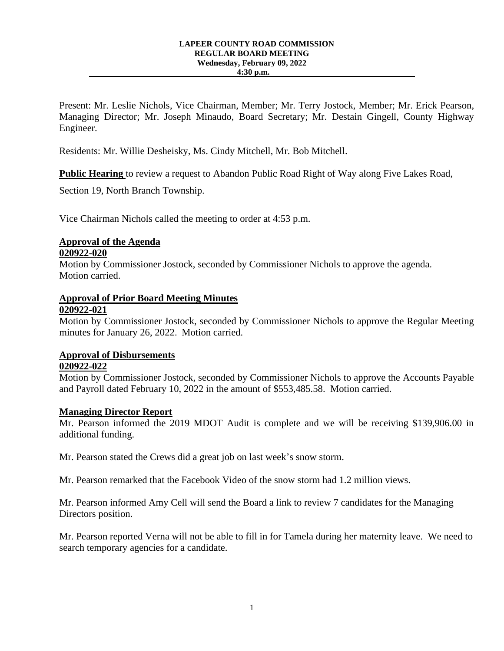#### **LAPEER COUNTY ROAD COMMISSION REGULAR BOARD MEETING Wednesday, February 09, 2022 4:30 p.m.**

Present: Mr. Leslie Nichols, Vice Chairman, Member; Mr. Terry Jostock, Member; Mr. Erick Pearson, Managing Director; Mr. Joseph Minaudo, Board Secretary; Mr. Destain Gingell, County Highway Engineer.

Residents: Mr. Willie Desheisky, Ms. Cindy Mitchell, Mr. Bob Mitchell.

**Public Hearing** to review a request to Abandon Public Road Right of Way along Five Lakes Road,

Section 19, North Branch Township.

Vice Chairman Nichols called the meeting to order at 4:53 p.m.

## **Approval of the Agenda**

### **020922-020**

Motion by Commissioner Jostock, seconded by Commissioner Nichols to approve the agenda. Motion carried.

### **Approval of Prior Board Meeting Minutes 020922-021**

Motion by Commissioner Jostock, seconded by Commissioner Nichols to approve the Regular Meeting minutes for January 26, 2022. Motion carried.

## **Approval of Disbursements**

## **020922-022**

Motion by Commissioner Jostock, seconded by Commissioner Nichols to approve the Accounts Payable and Payroll dated February 10, 2022 in the amount of \$553,485.58. Motion carried.

### **Managing Director Report**

Mr. Pearson informed the 2019 MDOT Audit is complete and we will be receiving \$139,906.00 in additional funding.

Mr. Pearson stated the Crews did a great job on last week's snow storm.

Mr. Pearson remarked that the Facebook Video of the snow storm had 1.2 million views.

Mr. Pearson informed Amy Cell will send the Board a link to review 7 candidates for the Managing Directors position.

Mr. Pearson reported Verna will not be able to fill in for Tamela during her maternity leave. We need to search temporary agencies for a candidate.